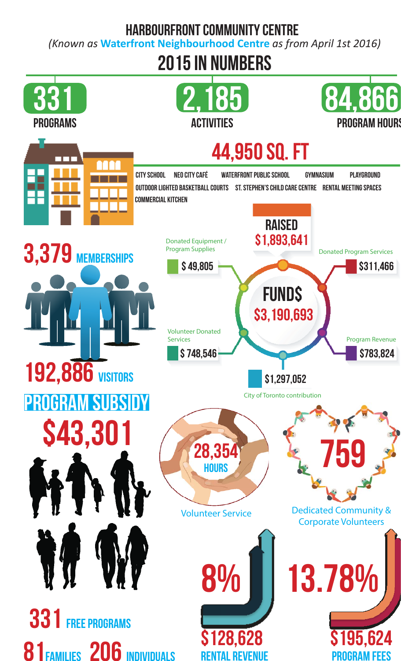# **Harbourfront Community Centre**

*(Known as* **Waterfront Neighbourhood Centre** *as from April 1st 2016)*